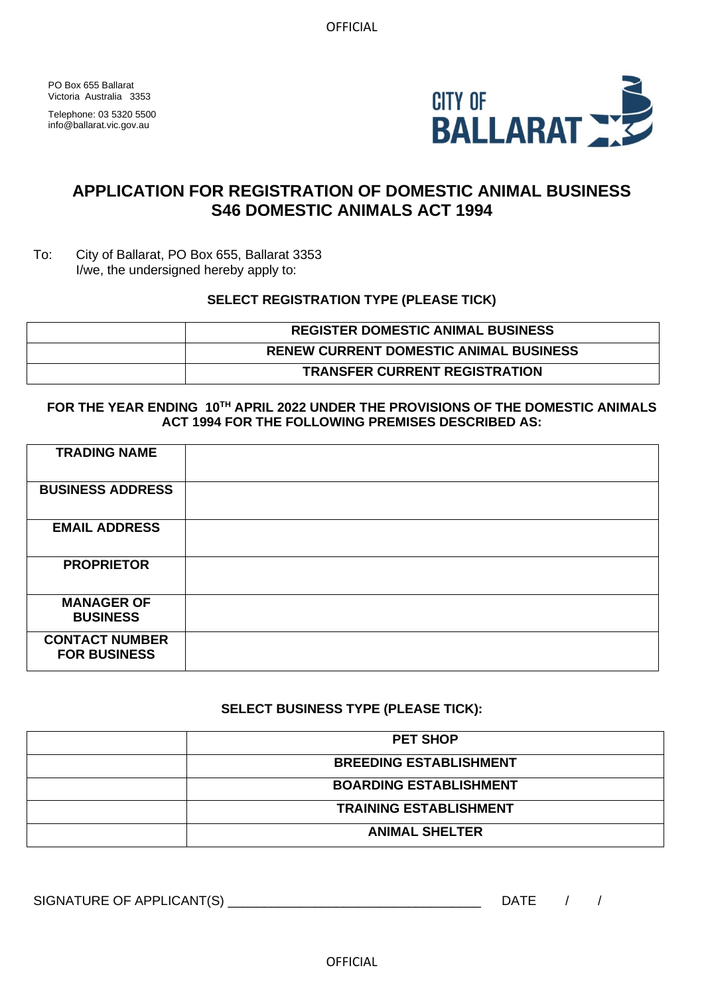PO Box 655 Ballarat Victoria Australia 3353

Telephone: 03 5320 5500 info@ballarat.vic.gov.au



## **APPLICATION FOR REGISTRATION OF DOMESTIC ANIMAL BUSINESS S46 DOMESTIC ANIMALS ACT 1994**

To: City of Ballarat, PO Box 655, Ballarat 3353 I/we, the undersigned hereby apply to:

### **SELECT REGISTRATION TYPE (PLEASE TICK)**

| <b>REGISTER DOMESTIC ANIMAL BUSINESS</b>      |
|-----------------------------------------------|
| <b>RENEW CURRENT DOMESTIC ANIMAL BUSINESS</b> |
| <b>TRANSFER CURRENT REGISTRATION</b>          |

### **FOR THE YEAR ENDING 10TH APRIL 2022 UNDER THE PROVISIONS OF THE DOMESTIC ANIMALS ACT 1994 FOR THE FOLLOWING PREMISES DESCRIBED AS:**

| <b>TRADING NAME</b>                          |  |
|----------------------------------------------|--|
| <b>BUSINESS ADDRESS</b>                      |  |
| <b>EMAIL ADDRESS</b>                         |  |
| <b>PROPRIETOR</b>                            |  |
| <b>MANAGER OF</b><br><b>BUSINESS</b>         |  |
| <b>CONTACT NUMBER</b><br><b>FOR BUSINESS</b> |  |

## **SELECT BUSINESS TYPE (PLEASE TICK):**

| <b>PET SHOP</b>               |
|-------------------------------|
| <b>BREEDING ESTABLISHMENT</b> |
| <b>BOARDING ESTABLISHMENT</b> |
| <b>TRAINING ESTABLISHMENT</b> |
| <b>ANIMAL SHELTER</b>         |

SIGNATURE OF APPLICANT(S) \_\_\_\_\_\_\_\_\_\_\_\_\_\_\_\_\_\_\_\_\_\_\_\_\_\_\_\_\_\_\_\_\_\_\_ DATE / /